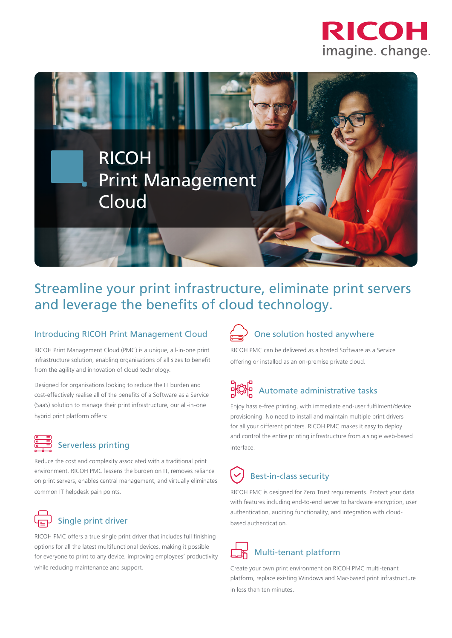



## Streamline your print infrastructure, eliminate print servers and leverage the benefits of cloud technology.

### Introducing RICOH Print Management Cloud

RICOH Print Management Cloud (PMC) is a unique, all-in-one print infrastructure solution, enabling organisations of all sizes to benefit from the agility and innovation of cloud technology.

Designed for organisations looking to reduce the IT burden and cost-effectively realise all of the benefits of a Software as a Service (SaaS) solution to manage their print infrastructure, our all-in-one hybrid print platform offers:



### Serverless printing

Reduce the cost and complexity associated with a traditional print environment. RICOH PMC lessens the burden on IT, removes reliance on print servers, enables central management, and virtually eliminates common IT helpdesk pain points.

### Single print driver

RICOH PMC offers a true single print driver that includes full finishing options for all the latest multifunctional devices, making it possible for everyone to print to any device, improving employees' productivity while reducing maintenance and support.

# One solution hosted anywhere

RICOH PMC can be delivered as a hosted Software as a Service offering or installed as an on-premise private cloud.

# 마얀 Automate administrative tasks

Enjoy hassle-free printing, with immediate end-user fulfilment/device provisioning. No need to install and maintain multiple print drivers for all your different printers. RICOH PMC makes it easy to deploy and control the entire printing infrastructure from a single web-based interface.

## Best-in-class security

RICOH PMC is designed for Zero Trust requirements. Protect your data with features including end-to-end server to hardware encryption, user authentication, auditing functionality, and integration with cloudbased authentication.

## Multi-tenant platform

Create your own print environment on RICOH PMC multi-tenant platform, replace existing Windows and Mac-based print infrastructure in less than ten minutes.